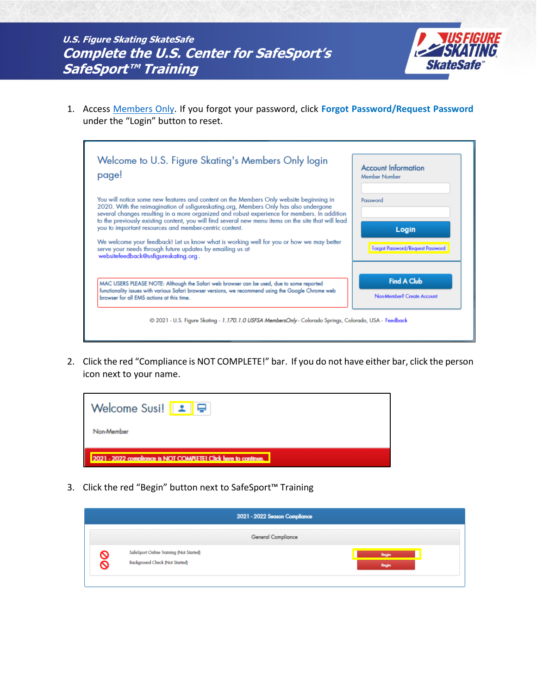

1. Access [Members Only.](https://usfsaonline.org/) If you forgot your password, click **Forgot Password/Request Password** under the "Login" button to reset.

| Welcome to U.S. Figure Skating's Members Only login<br>page!                                                                                                                                                                                                                                                                                                                                                                                                                                                                                                                                                                                    | <b>Account Information</b><br>Member Number                  |
|-------------------------------------------------------------------------------------------------------------------------------------------------------------------------------------------------------------------------------------------------------------------------------------------------------------------------------------------------------------------------------------------------------------------------------------------------------------------------------------------------------------------------------------------------------------------------------------------------------------------------------------------------|--------------------------------------------------------------|
| You will notice some new features and content on the Members Only website beginning in<br>2020. With the reimagination of usfigureskating.org, Members Only has also undergone<br>several changes resulting in a more organized and robust experience for members. In addition<br>to the previously existing content, you will find several new menu items on the site that will lead<br>you to important resources and member-centric content.<br>We welcome your feedback! Let us know what is working well for you or how we may better<br>serve your needs through future updates by emailing us at<br>websitefeedback@usfigureskating.org. | Password<br>Login<br>Forgot Password/Request Password        |
| MAC USERS PLEASE NOTE: Although the Safari web browser can be used, due to some reported<br>functionality issues with various Safari browser versions, we recommend using the Google Chrome web<br>browser for all FMS actions at this time.                                                                                                                                                                                                                                                                                                                                                                                                    | <b>Find A Club</b><br>Non-Member <sup>2</sup> Create Account |
| @ 2021 - U.S. Figure Skating - 1.170.1.0 USFSA MembersOnly - Colorado Springs, Colorado, USA - Feedback                                                                                                                                                                                                                                                                                                                                                                                                                                                                                                                                         |                                                              |

2. Click the red "Compliance is NOT COMPLETE!" bar. If you do not have either bar, click the person icon next to your name.



3. Click the red "Begin" button next to SafeSport™ Training

|   | 2021 - 2022 Season Compliance                                                    |                |  |  |
|---|----------------------------------------------------------------------------------|----------------|--|--|
|   | <b>General Compliance</b>                                                        |                |  |  |
| 8 | SafeSport Online Training (Not Started)<br><b>Background Check (Not Started)</b> | Begin<br>Begin |  |  |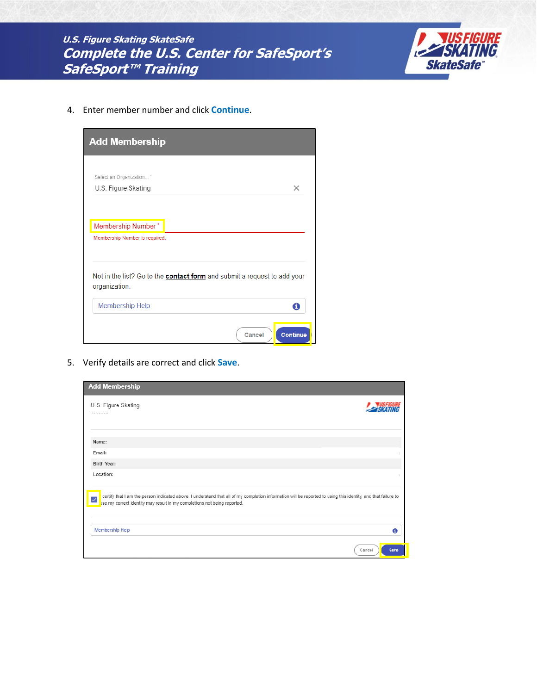**U.S. Figure Skating SkateSafe Complete the U.S. Center for SafeSport's** SafeSport™ Training



4. Enter member number and click Continue.

| <b>Add Membership</b>          |                                                                                 |
|--------------------------------|---------------------------------------------------------------------------------|
| Select an Organization *       |                                                                                 |
| U.S. Figure Skating            | $\times$                                                                        |
| Membership Number*             |                                                                                 |
| Membership Number is required. |                                                                                 |
| organization.                  | Not in the list? Go to the <b>contact form</b> and submit a request to add your |
| Membership Help                | A                                                                               |
|                                | <b>Continue</b><br>Cancel                                                       |

5. Verify details are correct and click Save.

| <b>Add Membership</b>                                                                                                                                                                                                                     |                |
|-------------------------------------------------------------------------------------------------------------------------------------------------------------------------------------------------------------------------------------------|----------------|
| U.S. Figure Skating<br>1010000                                                                                                                                                                                                            |                |
| Name:                                                                                                                                                                                                                                     |                |
| Email:                                                                                                                                                                                                                                    |                |
| Birth Year:                                                                                                                                                                                                                               |                |
| Location:                                                                                                                                                                                                                                 |                |
| certify that I am the person indicated above. I understand that all of my completion information will be reported to using this identity, and that failure to<br>use my correct identity may result in my completions not being reported. |                |
| Membership Help                                                                                                                                                                                                                           | Θ              |
|                                                                                                                                                                                                                                           | Cancel<br>Save |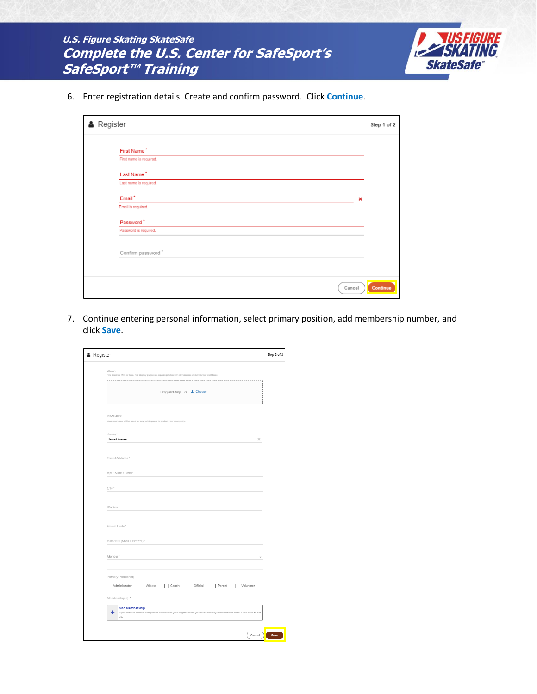| U.S. Figure Skating SkateSafe                   |
|-------------------------------------------------|
| <b>Complete the U.S. Center for SafeSport's</b> |
| <i>SafeSport™ Training</i>                      |



6. Enter registration details. Create and confirm password. Click **Continue**.

| <b>A</b> Register |                         | Step 1 of 2 |
|-------------------|-------------------------|-------------|
|                   | First Name <sup>*</sup> |             |
|                   | First name is required. |             |
|                   | Last Name <sup>*</sup>  |             |
|                   | Last name is required.  |             |
|                   | Email <sup>*</sup><br>× |             |
|                   | Email is required.      |             |
|                   | Password <sup>*</sup>   |             |
|                   | Password is required.   |             |
|                   | Confirm password *      |             |
|                   |                         |             |
|                   |                         |             |
|                   | Cancel                  | Continue    |

7. Continue entering personal information, select primary position, add membership number, and click **Save**.

| Photo<br>File must be 1MB or less. For display purposes, square photos with dimensions of 300x300px work best.<br>×<br>Drag and drop or & Choose<br>Nickname"<br>Your nickname will be used for any public posts to protect your anonymity.<br>Country*<br><b>United States</b><br>×<br>Street Address"<br>Apt / Suite / Other<br>City"<br>Region"<br>Postal Code"<br>Birthdate (MM/DD/YYYY)"<br>Gender"<br>Primary Position(s) *<br>Administrator / Athlete / Coach / Official / Parent / Volunteer<br>Membership(s) *<br>Add Membership<br>٠<br>If you wish to receive completion credit from your organization, you must add any memberships here. Click here to set<br>up. | <b>A</b> Register |
|--------------------------------------------------------------------------------------------------------------------------------------------------------------------------------------------------------------------------------------------------------------------------------------------------------------------------------------------------------------------------------------------------------------------------------------------------------------------------------------------------------------------------------------------------------------------------------------------------------------------------------------------------------------------------------|-------------------|
|                                                                                                                                                                                                                                                                                                                                                                                                                                                                                                                                                                                                                                                                                |                   |
|                                                                                                                                                                                                                                                                                                                                                                                                                                                                                                                                                                                                                                                                                |                   |
|                                                                                                                                                                                                                                                                                                                                                                                                                                                                                                                                                                                                                                                                                |                   |
|                                                                                                                                                                                                                                                                                                                                                                                                                                                                                                                                                                                                                                                                                |                   |
|                                                                                                                                                                                                                                                                                                                                                                                                                                                                                                                                                                                                                                                                                |                   |
|                                                                                                                                                                                                                                                                                                                                                                                                                                                                                                                                                                                                                                                                                |                   |
|                                                                                                                                                                                                                                                                                                                                                                                                                                                                                                                                                                                                                                                                                |                   |
|                                                                                                                                                                                                                                                                                                                                                                                                                                                                                                                                                                                                                                                                                |                   |
|                                                                                                                                                                                                                                                                                                                                                                                                                                                                                                                                                                                                                                                                                |                   |
|                                                                                                                                                                                                                                                                                                                                                                                                                                                                                                                                                                                                                                                                                |                   |
|                                                                                                                                                                                                                                                                                                                                                                                                                                                                                                                                                                                                                                                                                |                   |
|                                                                                                                                                                                                                                                                                                                                                                                                                                                                                                                                                                                                                                                                                |                   |
|                                                                                                                                                                                                                                                                                                                                                                                                                                                                                                                                                                                                                                                                                |                   |
|                                                                                                                                                                                                                                                                                                                                                                                                                                                                                                                                                                                                                                                                                |                   |
|                                                                                                                                                                                                                                                                                                                                                                                                                                                                                                                                                                                                                                                                                |                   |
|                                                                                                                                                                                                                                                                                                                                                                                                                                                                                                                                                                                                                                                                                |                   |
|                                                                                                                                                                                                                                                                                                                                                                                                                                                                                                                                                                                                                                                                                |                   |
|                                                                                                                                                                                                                                                                                                                                                                                                                                                                                                                                                                                                                                                                                |                   |
|                                                                                                                                                                                                                                                                                                                                                                                                                                                                                                                                                                                                                                                                                |                   |
|                                                                                                                                                                                                                                                                                                                                                                                                                                                                                                                                                                                                                                                                                |                   |
|                                                                                                                                                                                                                                                                                                                                                                                                                                                                                                                                                                                                                                                                                |                   |
|                                                                                                                                                                                                                                                                                                                                                                                                                                                                                                                                                                                                                                                                                |                   |
|                                                                                                                                                                                                                                                                                                                                                                                                                                                                                                                                                                                                                                                                                |                   |
|                                                                                                                                                                                                                                                                                                                                                                                                                                                                                                                                                                                                                                                                                |                   |
|                                                                                                                                                                                                                                                                                                                                                                                                                                                                                                                                                                                                                                                                                |                   |